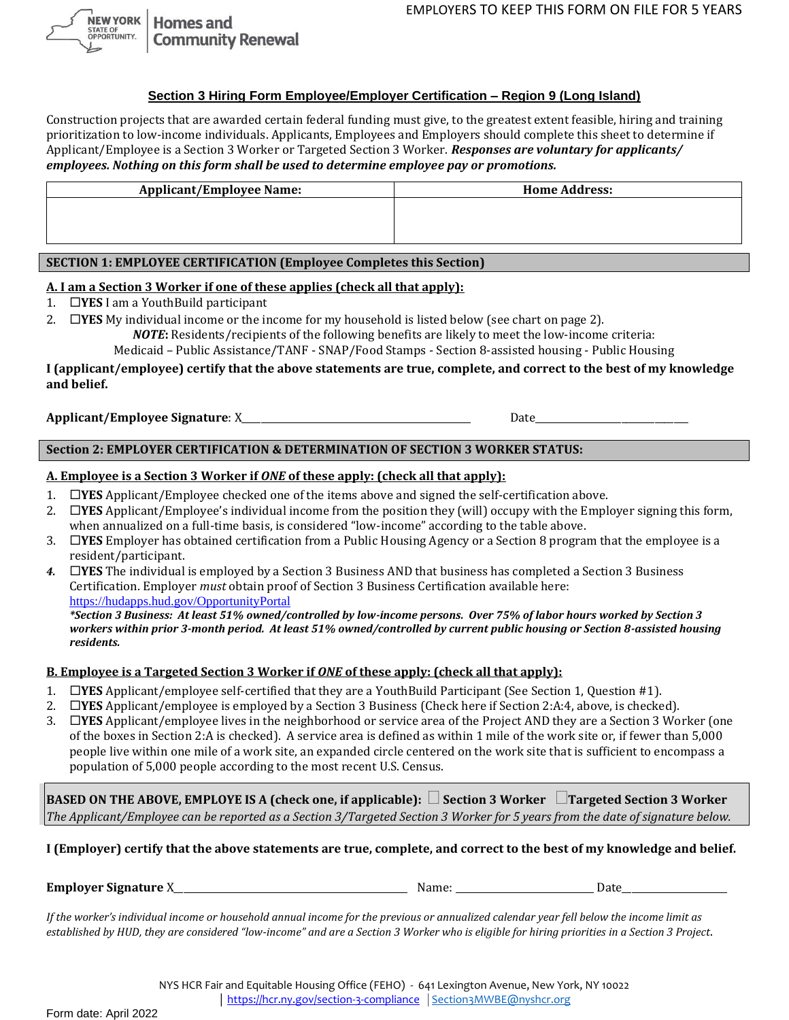**NEW YORK Homes and** STATE OF<br>OPPORTUNITY. **Community Renewal** 

## **Section 3 Hiring Form Employee/Employer Certification – Region 9 (Long Island)**

Construction projects that are awarded certain federal funding must give, to the greatest extent feasible, hiring and training prioritization to low-income individuals. Applicants, Employees and Employers should complete this sheet to determine if Applicant/Employee is a Section 3 Worker or Targeted Section 3 Worker. *Responses are voluntary for applicants/ employees. Nothing on this form shall be used to determine employee pay or promotions.*

| <b>Applicant/Employee Name:</b> | <b>Home Address:</b> |
|---------------------------------|----------------------|
|                                 |                      |
|                                 |                      |
|                                 |                      |

# **SECTION 1: EMPLOYEE CERTIFICATION (Employee Completes this Section)**

### **A. I am a Section 3 Worker if one of these applies (check all that apply):**

1. **YES** I am a YouthBuild participant

2. **YES** My individual income or the income for my household is listed below (see chart on page 2). *NOTE***:** Residents/recipients of the following benefits are likely to meet the low-income criteria:

Medicaid – Public Assistance/TANF - SNAP/Food Stamps - Section 8-assisted housing - Public Housing

#### **I (applicant/employee) certify that the above statements are true, complete, and correct to the best of my knowledge and belief.**

### **Applicant/Employee Signature**: X\_\_\_\_\_\_\_\_\_\_\_\_\_\_\_\_\_\_\_\_\_\_\_\_\_\_\_\_\_\_\_\_\_\_\_\_\_\_\_\_\_\_\_\_\_\_\_\_ Date\_\_\_\_\_\_\_\_\_\_\_\_\_\_\_\_\_\_\_\_\_\_\_\_\_\_\_\_\_\_\_\_

## **Section 2: EMPLOYER CERTIFICATION & DETERMINATION OF SECTION 3 WORKER STATUS:**

### **A. Employee is a Section 3 Worker if** *ONE* **of these apply: (check all that apply):**

- 1. **YES** Applicant/Employee checked one of the items above and signed the self-certification above.
- 2. **YES** Applicant/Employee's individual income from the position they (will) occupy with the Employer signing this form, when annualized on a full-time basis, is considered "low-income" according to the table above.
- 3. **YES** Employer has obtained certification from a Public Housing Agency or a Section 8 program that the employee is a resident/participant.
- *4.* **YES** The individual is employed by a Section 3 Business AND that business has completed a Section 3 Business Certification. Employer *must* obtain proof of Section 3 Business Certification available here: [https://hudapps.hud.gov/OpportunityPortal](https://hudapps.hud.gov/OpportunityPortal/)

*\*Section 3 Business: At least 51% owned/controlled by low-income persons. Over 75% of labor hours worked by Section 3 workers within prior 3-month period. At least 51% owned/controlled by current public housing or Section 8-assisted housing residents.*

#### **B. Employee is a Targeted Section 3 Worker if** *ONE* **of these apply: (check all that apply):**

- 1. **YES** Applicant/employee self-certified that they are a YouthBuild Participant (See Section 1, Question #1).
- 2. **YES** Applicant/employee is employed by a Section 3 Business (Check here if Section 2:A:4, above, is checked).
- 3. **YES** Applicant/employee lives in the neighborhood or service area of the Project AND they are a Section 3 Worker (one of the boxes in Section 2:A is checked). A service area is defined as within 1 mile of the work site or, if fewer than 5,000 people live within one mile of a work site, an expanded circle centered on the work site that is sufficient to encompass a population of 5,000 people according to the most recent U.S. Census.

**BASED ON THE ABOVE, EMPLOYE IS A (check one, if applicable): Section 3 Worker Targeted Section 3 Worker**  *The Applicant/Employee can be reported as a Section 3/Targeted Section 3 Worker for 5 years from the date of signature below.*

**I (Employer) certify that the above statements are true, complete, and correct to the best of my knowledge and belief.** 

**Employer Signature** X\_\_\_\_\_\_\_\_\_\_\_\_\_\_\_\_\_\_\_\_\_\_\_\_\_\_\_\_\_\_\_\_\_\_\_\_\_\_\_\_\_\_\_\_\_\_\_\_\_ Name: \_\_\_\_\_\_\_\_\_\_\_\_\_\_\_\_\_\_\_\_\_\_\_\_\_\_\_\_\_ Date\_\_\_\_\_\_\_\_\_\_\_\_\_\_\_\_\_\_\_\_\_\_

*If the worker's individual income or household annual income for the previous or annualized calendar year fell below the income limit as established by HUD, they are considered "low-income" and are a Section 3 Worker who is eligible for hiring priorities in a Section 3 Project*.